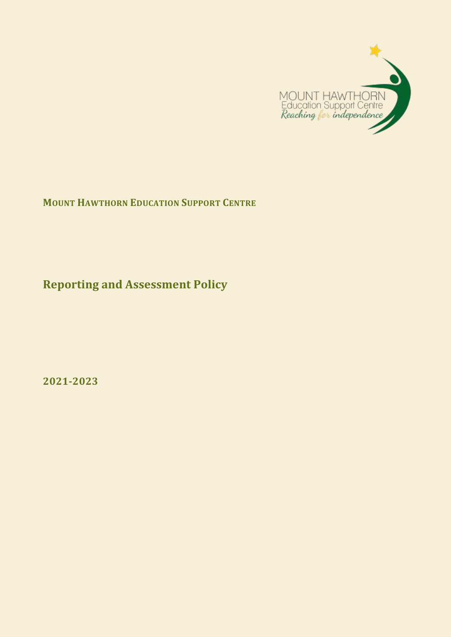

**MOUNT HAWTHORN EDUCATION SUPPORT CENTRE**

**Reporting and Assessment Policy**

**2021-2023**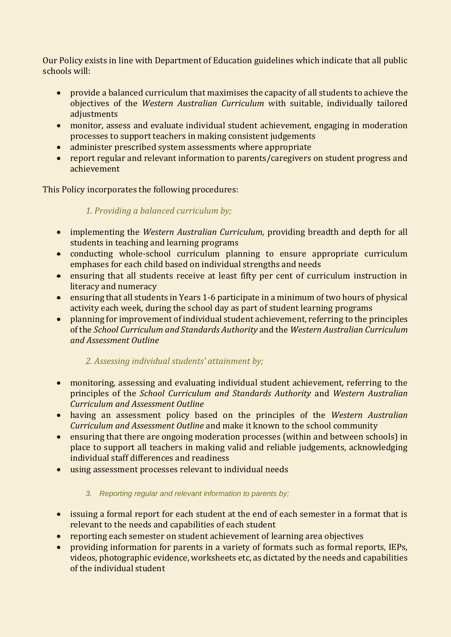Our Policy exists in line with Department of Education guidelines which indicate that all public schools will:

- provide a balanced curriculum that maximises the capacity of all students to achieve the objectives of the *Western Australian Curriculum* with suitable, individually tailored adjustments
- monitor, assess and evaluate individual student achievement, engaging in moderation processes to support teachers in making consistent judgements
- administer prescribed system assessments where appropriate
- report regular and relevant information to parents/caregivers on student progress and achievement

This Policy incorporates the following procedures:

*1. Providing a balanced curriculum by;*

- implementing the *Western Australian Curriculum,* providing breadth and depth for all students in teaching and learning programs
- conducting whole-school curriculum planning to ensure appropriate curriculum emphases for each child based on individual strengths and needs
- ensuring that all students receive at least fifty per cent of curriculum instruction in literacy and numeracy
- ensuring that all students in Years 1-6 participate in a minimum of two hours of physical activity each week, during the school day as part of student learning programs
- planning for improvement of individual student achievement, referring to the principles of the *School Curriculum and Standards Authority* and the *Western Australian Curriculum and Assessment Outline*

## *2. Assessing individual students' attainment by;*

- monitoring, assessing and evaluating individual student achievement, referring to the principles of the *School Curriculum and Standards Authority* and *Western Australian Curriculum and Assessment Outline*
- having an assessment policy based on the principles of the *Western Australian Curriculum and Assessment Outline* and make it known to the school community
- ensuring that there are ongoing moderation processes (within and between schools) in place to support all teachers in making valid and reliable judgements, acknowledging individual staff differences and readiness
- using assessment processes relevant to individual needs

## *3. Reporting regular and relevant information to parents by;*

- issuing a formal report for each student at the end of each semester in a format that is relevant to the needs and capabilities of each student
- reporting each semester on student achievement of learning area objectives
- providing information for parents in a variety of formats such as formal reports, IEPs, videos, photographic evidence, worksheets etc, as dictated by the needs and capabilities of the individual student